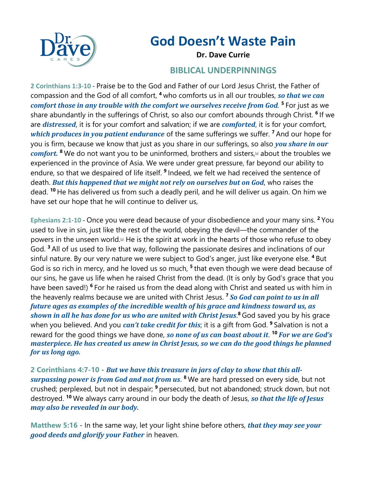

## **God Doesn't Waste Pain**

**Dr. Dave Currie**

## **BIBLICAL UNDERPINNINGS**

**2 Corinthians 1:3-10** - Praise be to the God and Father of our Lord Jesus Christ, the Father of compassion and the God of all comfort, <sup>4</sup> who comforts us in all our troubles, so that we can *comfort those in any trouble with the comfort we ourselves receive from God.*<sup>5</sup> For just as we share abundantly in the sufferings of Christ, so also our comfort abounds through Christ. **<sup>6</sup>** If we are *distressed*, it is for your comfort and salvation; if we are *comforted*, it is for your comfort, *which produces in you patient endurance* of the same sufferings we suffer. <sup>7</sup> And our hope for you is firm, because we know that just as you share in our sufferings, so also *you share in our comfort.* <sup>8</sup> We do not want you to be uninformed, brothers and sisters, a about the troubles we experienced in the province of Asia. We were under great pressure, far beyond our ability to endure, so that we despaired of life itself. **<sup>9</sup>** Indeed, we felt we had received the sentence of death. *But this happened that we might not rely on ourselves but on God*, who raises the dead. **<sup>10</sup>** He has delivered us from such a deadly peril, and he will deliver us again. On him we have set our hope that he will continue to deliver us,

**Ephesians 2:1-10** - Once you were dead because of your disobedience and your many sins. **<sup>2</sup>** You used to live in sin, just like the rest of the world, obeying the devil—the commander of the powers in the unseen world.[a] He is the spirit at work in the hearts of those who refuse to obey God. **<sup>3</sup>** All of us used to live that way, following the passionate desires and inclinations of our sinful nature. By our very nature we were subject to God's anger, just like everyone else. **<sup>4</sup>** But God is so rich in mercy, and he loved us so much, **<sup>5</sup>** that even though we were dead because of our sins, he gave us life when he raised Christ from the dead. (It is only by God's grace that you have been saved!) **<sup>6</sup>** For he raised us from the dead along with Christ and seated us with him in the heavenly realms because we are united with Christ Jesus.<sup>7</sup> So God can point to us in all *future ages as examples of the incredible wealth of his grace and kindness toward us, as* shown in all he has done for us who are united with Christ Jesus.<sup>8</sup> God saved you by his grace when you believed. And you *can't take credit for this*; it is a gift from God. <sup>9</sup> Salvation is not a reward for the good things we have done, *so none of us can boast about it*. <sup>10</sup> *For we are God's masterpiece. He has created us anew in Christ Jesus, so we can do the good things he planned* for us long ago.

2 Corinthians 4:7-10 - *But we have this treasure in jars of clay to show that this allsurpassing power is from God and not from us.* <sup>8</sup> We are hard pressed on every side, but not crushed; perplexed, but not in despair; **<sup>9</sup>** persecuted, but not abandoned; struck down, but not destroyed. <sup>10</sup> We always carry around in our body the death of Jesus, so that the life of Jesus *may also be revealed in our body.* 

**Matthew 5:16** - In the same way, let your light shine before others, *that they may see your good deeds and glorify your Father* in heaven.